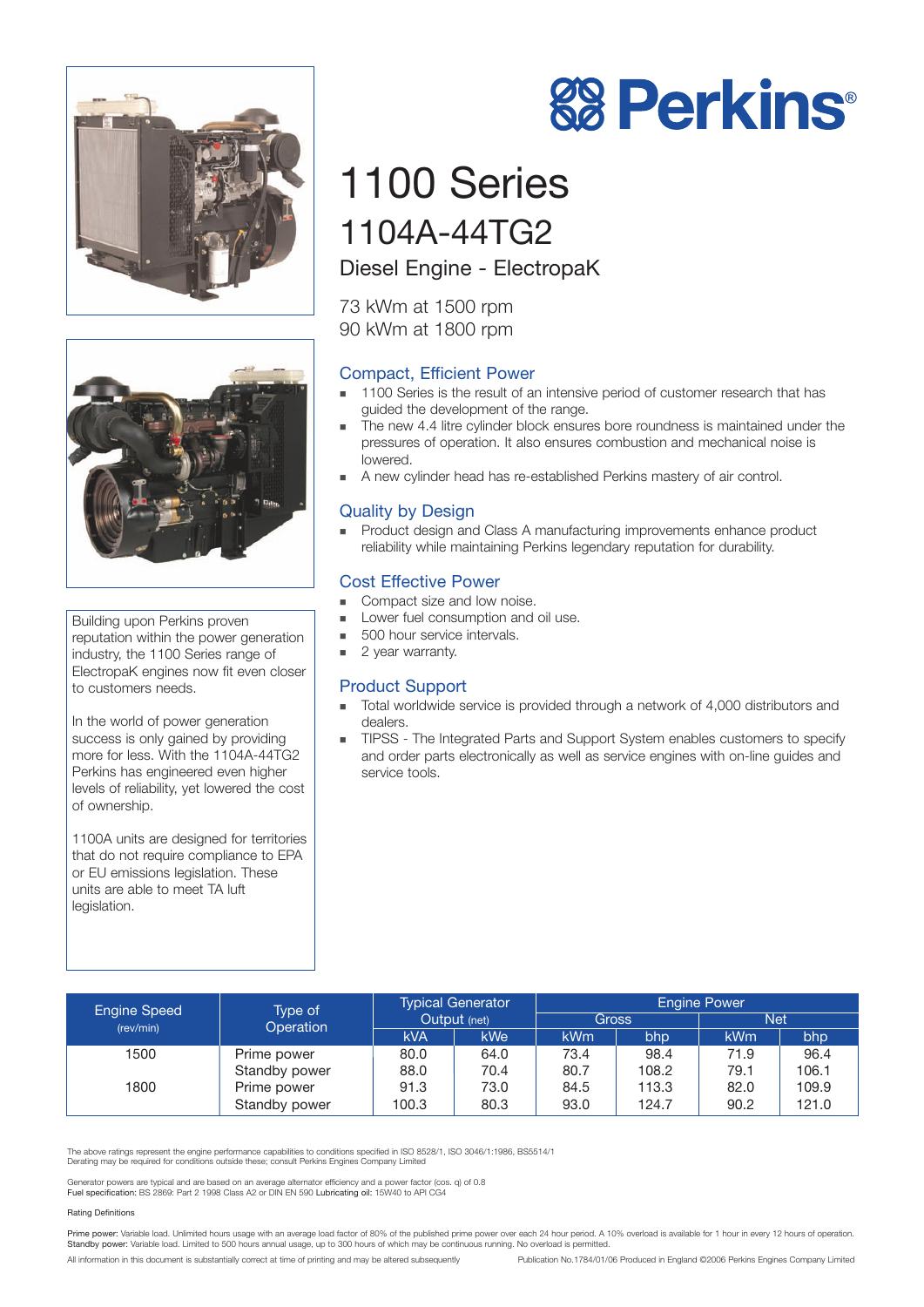



Building upon Perkins proven reputation within the power generation industry, the 1100 Series range of ElectropaK engines now fit even closer to customers needs.

In the world of power generation success is only gained by providing more for less. With the 1104A-44TG2 Perkins has engineered even higher levels of reliability, yet lowered the cost of ownership.

1100A units are designed for territories that do not require compliance to EPA or EU emissions legislation. These units are able to meet TA luft legislation.

# 1100 Series 1104A-44TG2

Diesel Engine - ElectropaK

73 kWm at 1500 rpm 90 kWm at 1800 rpm

# Compact, Efficient Power

- **1100 Series is the result of an intensive period of customer research that has** guided the development of the range.
- ! The new 4.4 litre cylinder block ensures bore roundness is maintained under the pressures of operation. It also ensures combustion and mechanical noise is lowered.
- ! A new cylinder head has re-established Perkins mastery of air control.

# Quality by Design

! Product design and Class A manufacturing improvements enhance product reliability while maintaining Perkins legendary reputation for durability.

## Cost Effective Power

- Compact size and low noise.
- Lower fuel consumption and oil use.
- **500 hour service intervals.**
- 2 year warranty.

### Product Support

- ! Total worldwide service is provided through a network of 4,000 distributors and dealers.
- **TIPSS** The Integrated Parts and Support System enables customers to specify and order parts electronically as well as service engines with on-line guides and service tools.

| <b>Engine Speed</b><br>(rev/min) | Type of<br>Operation | <b>Typical Generator</b><br>Output (net) |      | <b>Engine Power</b> |       |            |       |
|----------------------------------|----------------------|------------------------------------------|------|---------------------|-------|------------|-------|
|                                  |                      |                                          |      | <b>Gross</b>        |       | <b>Net</b> |       |
|                                  |                      | <b>kVA</b>                               | kWe  | <b>kWm</b>          | bhp   | <b>kWm</b> | bhp   |
| 1500                             | Prime power          | 80.0                                     | 64.0 | 73.4                | 98.4  | 71.9       | 96.4  |
|                                  | Standby power        | 88.0                                     | 70.4 | 80.7                | 108.2 | 79.1       | 106.1 |
| 1800                             | Prime power          | 91.3                                     | 73.0 | 84.5                | 113.3 | 82.0       | 109.9 |
|                                  | Standby power        | 100.3                                    | 80.3 | 93.0                | 124.7 | 90.2       | 121.0 |

The above ratings represent the engine performance capabilities to conditions specified in ISO 8528/1, ISO 3046/1:1986, BS5514/1 Derating may be required for conditions outside these; consult Perkins Engines Company Limited

Generator powers are typical and are based on an average alternator efficiency and a power factor (cos. q) of 0.8<br>**Fuel specification:** BS 2869: Part 2 1998 Class A2 or DIN EN 590 **Lubricating oil:** 15W40 to API CG4

#### Rating Definitions

Prime power: Variable load. Unlimited hours usage with an average load factor of 80% of the published prime power over each 24 hour period. A 10% overload is available for 1 hour in every 12 hours of operation.<br>Standby pow

All information in this document is substantially correct at time of printing and may be altered subsequently Publication No.1784/01/06 Produced in England ©2006 Perkins Engines Company Limited